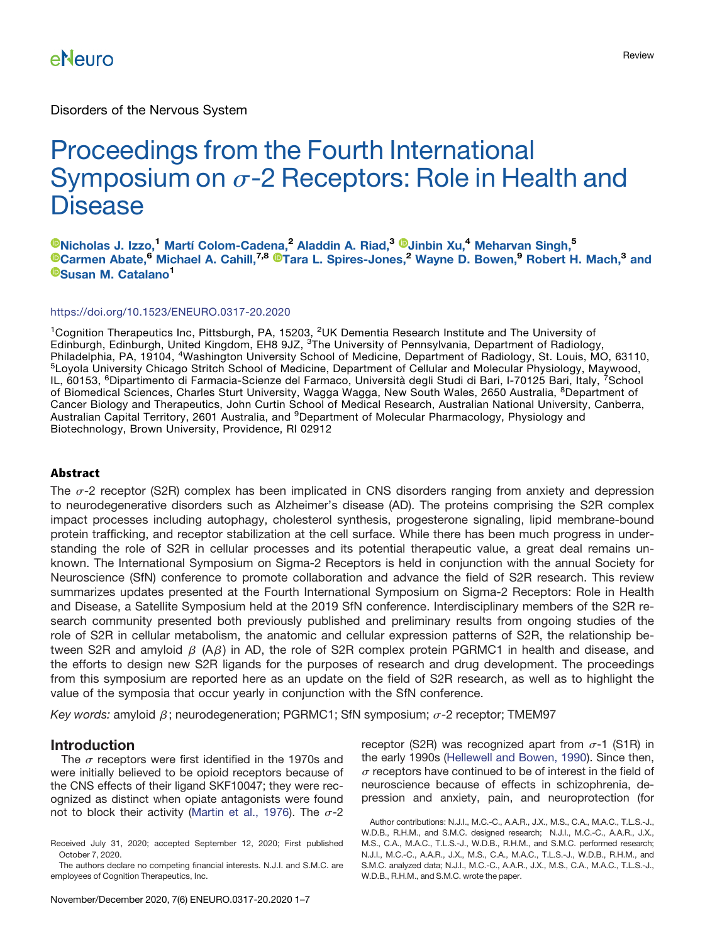Disorders of the Nervous System

# Proceedings from the Fourth International Symposium on  $\sigma$ -2 Receptors: Role in Health and **Disease**

[Nicholas J. Izzo,](https://orcid.org/0000-0002-0196-2055)<sup>1</sup> Martí Colom-Cadena,<sup>2</sup> Aladdin A. Riad,<sup>3</sup> <sup>®</sup>Jinbin Xu,<sup>4</sup> Meharvan Singh,<sup>5</sup> [Carmen Abate,](https://orcid.org/0000-0001-9292-884X)<sup>6</sup> Michael A. Cahill,<sup>7,8</sup> <sup>®</sup>Tara L. Spires-Jones,<sup>2</sup> Wayne D. Bowen,<sup>9</sup> Robert H. Mach,<sup>3</sup> and [Susan M. Catalano](https://orcid.org/0000-0001-7278-3233)<sup>1</sup>

#### <https://doi.org/10.1523/ENEURO.0317-20.2020>

<sup>1</sup>Cognition Therapeutics Inc, Pittsburgh, PA, 15203, <sup>2</sup>UK Dementia Research Institute and The University of Edinburgh, Edinburgh, United Kingdom, EH8 9JZ, <sup>3</sup>The University of Pennsylvania, Department of Radiology, Philadelphia, PA, 19104, <sup>4</sup>Washington University School of Medicine, Department of Radiology, St. Louis, MO, 63110,<br><sup>5</sup>Loyola University Chicago Stritch School of Medicine, Department of Cellular and Molecular Physiology, IL, 60153, <sup>6</sup>Dipartimento di Farmacia-Scienze del Farmaco, Università degli Studi di Bari, I-70125 Bari, Italy, <sup>7</sup>School of Biomedical Sciences, Charles Sturt University, Wagga Wagga, New South Wales, 2650 Australia, <sup>8</sup>Department of Cancer Biology and Therapeutics, John Curtin School of Medical Research, Australian National University, Canberra, Australian Capital Territory, 2601 Australia, and <sup>9</sup>Department of Molecular Pharmacology, Physiology and Biotechnology, Brown University, Providence, RI 02912

#### Abstract

The  $\sigma$ -2 receptor (S2R) complex has been implicated in CNS disorders ranging from anxiety and depression to neurodegenerative disorders such as Alzheimer's disease (AD). The proteins comprising the S2R complex impact processes including autophagy, cholesterol synthesis, progesterone signaling, lipid membrane-bound protein trafficking, and receptor stabilization at the cell surface. While there has been much progress in understanding the role of S2R in cellular processes and its potential therapeutic value, a great deal remains unknown. The International Symposium on Sigma-2 Receptors is held in conjunction with the annual Society for Neuroscience (SfN) conference to promote collaboration and advance the field of S2R research. This review summarizes updates presented at the Fourth International Symposium on Sigma-2 Receptors: Role in Health and Disease, a Satellite Symposium held at the 2019 SfN conference. Interdisciplinary members of the S2R research community presented both previously published and preliminary results from ongoing studies of the role of S2R in cellular metabolism, the anatomic and cellular expression patterns of S2R, the relationship between S2R and amyloid  $\beta$  (A $\beta$ ) in AD, the role of S2R complex protein PGRMC1 in health and disease, and the efforts to design new S2R ligands for the purposes of research and drug development. The proceedings from this symposium are reported here as an update on the field of S2R research, as well as to highlight the value of the symposia that occur yearly in conjunction with the SfN conference.

Key words: amyloid  $\beta$ ; neurodegeneration; PGRMC1; SfN symposium;  $\sigma$ -2 receptor; TMEM97

#### Introduction

The  $\sigma$  receptors were first identified in the 1970s and were initially believed to be opioid receptors because of the CNS effects of their ligand SKF10047; they were recognized as distinct when opiate antagonists were found not to block their activity ([Martin et al., 1976\)](#page-6-0). The  $\sigma$ -2 receptor (S2R) was recognized apart from  $\sigma$ -1 (S1R) in the early 1990s ([Hellewell and Bowen, 1990\)](#page-5-0). Since then,  $\sigma$  receptors have continued to be of interest in the field of neuroscience because of effects in schizophrenia, depression and anxiety, pain, and neuroprotection (for

Received July 31, 2020; accepted September 12, 2020; First published October 7, 2020.

The authors declare no competing financial interests. N.J.I. and S.M.C. are employees of Cognition Therapeutics, Inc.

Author contributions: N.J.I., M.C.-C., A.A.R., J.X., M.S., C.A., M.A.C., T.L.S.-J., W.D.B., R.H.M., and S.M.C. designed research; N.J.I., M.C.-C., A.A.R., J.X., M.S., C.A., M.A.C., T.L.S.-J., W.D.B., R.H.M., and S.M.C. performed research; N.J.I., M.C.-C., A.A.R., J.X., M.S., C.A., M.A.C., T.L.S.-J., W.D.B., R.H.M., and S.M.C. analyzed data; N.J.I., M.C.-C., A.A.R., J.X., M.S., C.A., M.A.C., T.L.S.-J., W.D.B., R.H.M., and S.M.C. wrote the paper.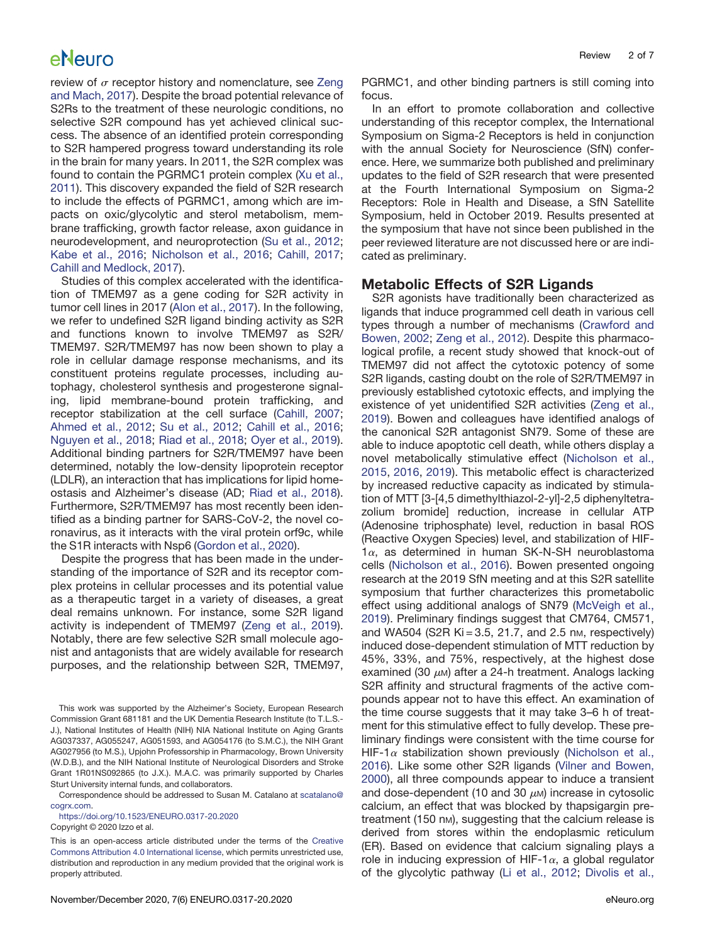review of  $\sigma$  receptor history and nomenclature, see [Zeng](#page-6-1) [and Mach, 2017](#page-6-1)). Despite the broad potential relevance of S2Rs to the treatment of these neurologic conditions, no selective S2R compound has yet achieved clinical success. The absence of an identified protein corresponding to S2R hampered progress toward understanding its role in the brain for many years. In 2011, the S2R complex was found to contain the PGRMC1 protein complex ([Xu et al.,](#page-6-2) [2011](#page-6-2)). This discovery expanded the field of S2R research to include the effects of PGRMC1, among which are impacts on oxic/glycolytic and sterol metabolism, membrane trafficking, growth factor release, axon guidance in neurodevelopment, and neuroprotection ([Su et al., 2012](#page-6-3); [Kabe et al., 2016](#page-5-1); [Nicholson et al., 2016](#page-6-4); [Cahill, 2017](#page-5-2); [Cahill and Medlock, 2017\)](#page-5-3).

Studies of this complex accelerated with the identification of TMEM97 as a gene coding for S2R activity in tumor cell lines in 2017 [\(Alon et al., 2017](#page-5-4)). In the following, we refer to undefined S2R ligand binding activity as S2R and functions known to involve TMEM97 as S2R/ TMEM97. S2R/TMEM97 has now been shown to play a role in cellular damage response mechanisms, and its constituent proteins regulate processes, including autophagy, cholesterol synthesis and progesterone signaling, lipid membrane-bound protein trafficking, and receptor stabilization at the cell surface ([Cahill, 2007](#page-5-5); [Ahmed et al., 2012](#page-5-6); [Su et al., 2012](#page-6-3); [Cahill et al., 2016](#page-5-7); [Nguyen et al., 2018](#page-6-5); [Riad et al., 2018;](#page-6-6) [Oyer et al., 2019\)](#page-6-7). Additional binding partners for S2R/TMEM97 have been determined, notably the low-density lipoprotein receptor (LDLR), an interaction that has implications for lipid homeostasis and Alzheimer's disease (AD; [Riad et al., 2018\)](#page-6-6). Furthermore, S2R/TMEM97 has most recently been identified as a binding partner for SARS-CoV-2, the novel coronavirus, as it interacts with the viral protein orf9c, while the S1R interacts with Nsp6 [\(Gordon et al., 2020\)](#page-5-8).

Despite the progress that has been made in the understanding of the importance of S2R and its receptor complex proteins in cellular processes and its potential value as a therapeutic target in a variety of diseases, a great deal remains unknown. For instance, some S2R ligand activity is independent of TMEM97 [\(Zeng et al., 2019\)](#page-6-8). Notably, there are few selective S2R small molecule agonist and antagonists that are widely available for research purposes, and the relationship between S2R, TMEM97,

<https://doi.org/10.1523/ENEURO.0317-20.2020> Copyright © 2020 Izzo et al.

PGRMC1, and other binding partners is still coming into focus.

In an effort to promote collaboration and collective understanding of this receptor complex, the International Symposium on Sigma-2 Receptors is held in conjunction with the annual Society for Neuroscience (SfN) conference. Here, we summarize both published and preliminary updates to the field of S2R research that were presented at the Fourth International Symposium on Sigma-2 Receptors: Role in Health and Disease, a SfN Satellite Symposium, held in October 2019. Results presented at the symposium that have not since been published in the peer reviewed literature are not discussed here or are indicated as preliminary.

#### Metabolic Effects of S2R Ligands

S2R agonists have traditionally been characterized as ligands that induce programmed cell death in various cell types through a number of mechanisms [\(Crawford and](#page-5-9) [Bowen, 2002](#page-5-9); [Zeng et al., 2012\)](#page-6-9). Despite this pharmacological profile, a recent study showed that knock-out of TMEM97 did not affect the cytotoxic potency of some S2R ligands, casting doubt on the role of S2R/TMEM97 in previously established cytotoxic effects, and implying the existence of yet unidentified S2R activities ([Zeng et al.,](#page-6-8) [2019](#page-6-8)). Bowen and colleagues have identified analogs of the canonical S2R antagonist SN79. Some of these are able to induce apoptotic cell death, while others display a novel metabolically stimulative effect [\(Nicholson et al.,](#page-6-10) [2015](#page-6-10), [2016](#page-6-4), [2019](#page-6-11)). This metabolic effect is characterized by increased reductive capacity as indicated by stimulation of MTT [3-[4,5 dimethylthiazol-2-yl]-2,5 diphenyltetrazolium bromide] reduction, increase in cellular ATP (Adenosine triphosphate) level, reduction in basal ROS (Reactive Oxygen Species) level, and stabilization of HIF- $1\alpha$ , as determined in human SK-N-SH neuroblastoma cells [\(Nicholson et al., 2016](#page-6-4)). Bowen presented ongoing research at the 2019 SfN meeting and at this S2R satellite symposium that further characterizes this prometabolic effect using additional analogs of SN79 ([McVeigh et al.,](#page-6-12) [2019](#page-6-12)). Preliminary findings suggest that CM764, CM571, and WA504 (S2R Ki = 3.5, 21.7, and 2.5 nm, respectively) induced dose-dependent stimulation of MTT reduction by 45%, 33%, and 75%, respectively, at the highest dose examined (30  $\mu$ M) after a 24-h treatment. Analogs lacking S2R affinity and structural fragments of the active compounds appear not to have this effect. An examination of the time course suggests that it may take 3–6 h of treatment for this stimulative effect to fully develop. These preliminary findings were consistent with the time course for HIF-1 $\alpha$  stabilization shown previously [\(Nicholson et al.,](#page-6-4) [2016](#page-6-4)). Like some other S2R ligands [\(Vilner and Bowen,](#page-6-13) [2000](#page-6-13)), all three compounds appear to induce a transient and dose-dependent (10 and 30  $\mu$ M) increase in cytosolic calcium, an effect that was blocked by thapsigargin pretreatment (150 nM), suggesting that the calcium release is derived from stores within the endoplasmic reticulum (ER). Based on evidence that calcium signaling plays a role in inducing expression of HIF-1 $\alpha$ , a global regulator of the glycolytic pathway [\(Li et al., 2012](#page-6-14); [Divolis et al.,](#page-5-10)

This work was supported by the Alzheimer's Society, European Research Commission Grant 681181 and the UK Dementia Research Institute (to T.L.S.- J.), National Institutes of Health (NIH) NIA National Institute on Aging Grants AG037337, AG055247, AG051593, and AG054176 (to S.M.C.), the NIH Grant AG027956 (to M.S.), Upjohn Professorship in Pharmacology, Brown University (W.D.B.), and the NIH National Institute of Neurological Disorders and Stroke Grant 1R01NS092865 (to J.X.). M.A.C. was primarily supported by Charles Sturt University internal funds, and collaborators.

Correspondence should be addressed to Susan M. Catalano at [scatalano@](mailto:scatalano@cogrx.com) [cogrx.com.](mailto:scatalano@cogrx.com)

This is an open-access article distributed under the terms of the [Creative](http://creativecommons.org/licenses/by/4.0/) [Commons Attribution 4.0 International license,](http://creativecommons.org/licenses/by/4.0/) which permits unrestricted use, distribution and reproduction in any medium provided that the original work is properly attributed.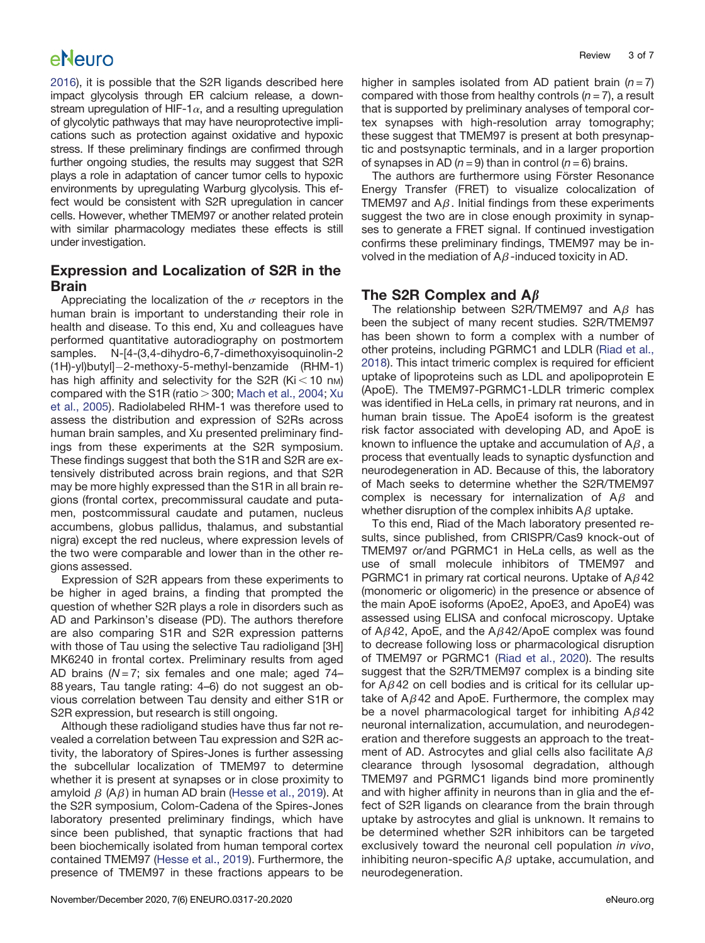[2016](#page-5-10)), it is possible that the S2R ligands described here impact glycolysis through ER calcium release, a downstream upregulation of HIF-1 $\alpha$ , and a resulting upregulation of glycolytic pathways that may have neuroprotective implications such as protection against oxidative and hypoxic stress. If these preliminary findings are confirmed through further ongoing studies, the results may suggest that S2R plays a role in adaptation of cancer tumor cells to hypoxic environments by upregulating Warburg glycolysis. This effect would be consistent with S2R upregulation in cancer cells. However, whether TMEM97 or another related protein with similar pharmacology mediates these effects is still under investigation.

### Expression and Localization of S2R in the Brain

Appreciating the localization of the  $\sigma$  receptors in the human brain is important to understanding their role in health and disease. To this end, Xu and colleagues have performed quantitative autoradiography on postmortem samples. N-[4-(3,4-dihydro-6,7-dimethoxyisoquinolin-2  $(H)$ -yl)butyl]-2-methoxy-5-methyl-benzamide (RHM-1) has high affinity and selectivity for the S2R (Ki $<$  10 nm) compared with the S1R (ratio  $>$  300; [Mach et al., 2004;](#page-6-15) [Xu](#page-6-16) [et al., 2005](#page-6-16)). Radiolabeled RHM-1 was therefore used to assess the distribution and expression of S2Rs across human brain samples, and Xu presented preliminary findings from these experiments at the S2R symposium. These findings suggest that both the S1R and S2R are extensively distributed across brain regions, and that S2R may be more highly expressed than the S1R in all brain regions (frontal cortex, precommissural caudate and putamen, postcommissural caudate and putamen, nucleus accumbens, globus pallidus, thalamus, and substantial nigra) except the red nucleus, where expression levels of the two were comparable and lower than in the other regions assessed.

Expression of S2R appears from these experiments to be higher in aged brains, a finding that prompted the question of whether S2R plays a role in disorders such as AD and Parkinson's disease (PD). The authors therefore are also comparing S1R and S2R expression patterns with those of Tau using the selective Tau radioligand [3H] MK6240 in frontal cortex. Preliminary results from aged AD brains ( $N = 7$ ; six females and one male; aged  $74-$ 88 years, Tau tangle rating: 4–6) do not suggest an obvious correlation between Tau density and either S1R or S2R expression, but research is still ongoing.

Although these radioligand studies have thus far not revealed a correlation between Tau expression and S2R activity, the laboratory of Spires-Jones is further assessing the subcellular localization of TMEM97 to determine whether it is present at synapses or in close proximity to amyloid  $\beta$  (A $\beta$ ) in human AD brain [\(Hesse et al., 2019](#page-5-11)). At the S2R symposium, Colom-Cadena of the Spires-Jones laboratory presented preliminary findings, which have since been published, that synaptic fractions that had been biochemically isolated from human temporal cortex contained TMEM97 [\(Hesse et al., 2019](#page-5-11)). Furthermore, the presence of TMEM97 in these fractions appears to be

higher in samples isolated from AD patient brain  $(n=7)$ compared with those from healthy controls  $(n = 7)$ , a result that is supported by preliminary analyses of temporal cortex synapses with high-resolution array tomography; these suggest that TMEM97 is present at both presynaptic and postsynaptic terminals, and in a larger proportion of synapses in AD ( $n = 9$ ) than in control ( $n = 6$ ) brains.

The authors are furthermore using Förster Resonance Energy Transfer (FRET) to visualize colocalization of TMEM97 and  $A\beta$ . Initial findings from these experiments suggest the two are in close enough proximity in synapses to generate a FRET signal. If continued investigation confirms these preliminary findings, TMEM97 may be involved in the mediation of  $A\beta$ -induced toxicity in AD.

### The S2R Complex and  $A\beta$

The relationship between S2R/TMEM97 and  $A\beta$  has been the subject of many recent studies. S2R/TMEM97 has been shown to form a complex with a number of other proteins, including PGRMC1 and LDLR [\(Riad et al.,](#page-6-6) [2018](#page-6-6)). This intact trimeric complex is required for efficient uptake of lipoproteins such as LDL and apolipoprotein E (ApoE). The TMEM97-PGRMC1-LDLR trimeric complex was identified in HeLa cells, in primary rat neurons, and in human brain tissue. The ApoE4 isoform is the greatest risk factor associated with developing AD, and ApoE is known to influence the uptake and accumulation of  $A\beta$ , a process that eventually leads to synaptic dysfunction and neurodegeneration in AD. Because of this, the laboratory of Mach seeks to determine whether the S2R/TMEM97 complex is necessary for internalization of  $A\beta$  and whether disruption of the complex inhibits  $A\beta$  uptake.

To this end, Riad of the Mach laboratory presented results, since published, from CRISPR/Cas9 knock-out of TMEM97 or/and PGRMC1 in HeLa cells, as well as the use of small molecule inhibitors of TMEM97 and PGRMC1 in primary rat cortical neurons. Uptake of  $A\beta 42$ (monomeric or oligomeric) in the presence or absence of the main ApoE isoforms (ApoE2, ApoE3, and ApoE4) was assessed using ELISA and confocal microscopy. Uptake of A $\beta$ 42, ApoE, and the A $\beta$ 42/ApoE complex was found to decrease following loss or pharmacological disruption of TMEM97 or PGRMC1 [\(Riad et al., 2020](#page-6-17)). The results suggest that the S2R/TMEM97 complex is a binding site for  $A\beta$ 42 on cell bodies and is critical for its cellular uptake of  $A\beta 42$  and ApoE. Furthermore, the complex may be a novel pharmacological target for inhibiting  $A\beta 42$ neuronal internalization, accumulation, and neurodegeneration and therefore suggests an approach to the treatment of AD. Astrocytes and glial cells also facilitate  $A\beta$ clearance through lysosomal degradation, although TMEM97 and PGRMC1 ligands bind more prominently and with higher affinity in neurons than in glia and the effect of S2R ligands on clearance from the brain through uptake by astrocytes and glial is unknown. It remains to be determined whether S2R inhibitors can be targeted exclusively toward the neuronal cell population in vivo, inhibiting neuron-specific  $A\beta$  uptake, accumulation, and neurodegeneration.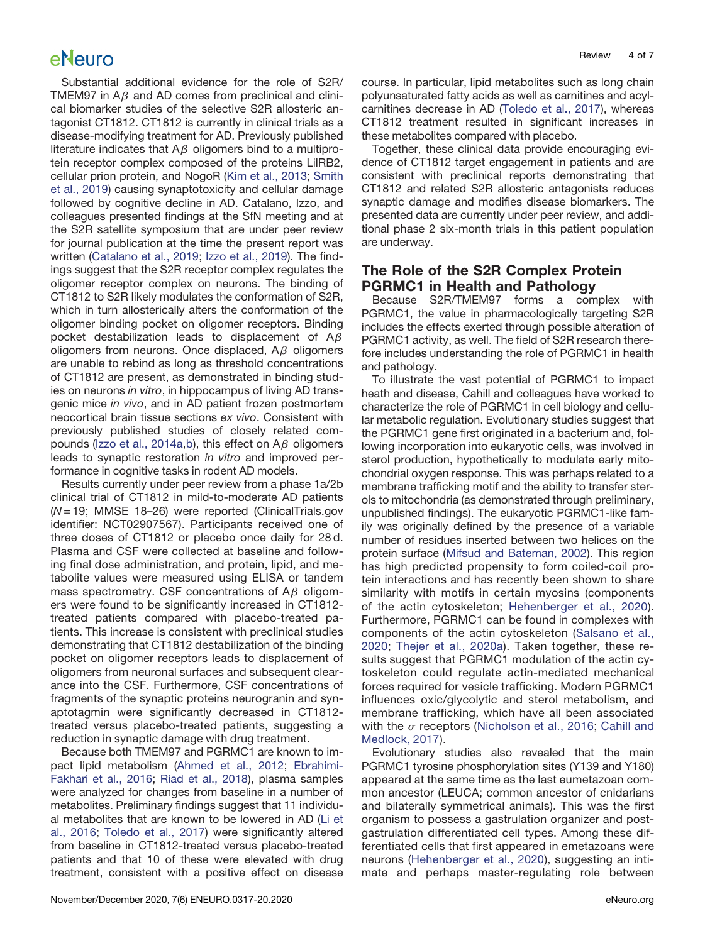Substantial additional evidence for the role of S2R/ TMEM97 in  $A\beta$  and AD comes from preclinical and clinical biomarker studies of the selective S2R allosteric antagonist CT1812. CT1812 is currently in clinical trials as a disease-modifying treatment for AD. Previously published literature indicates that  $A\beta$  oligomers bind to a multiprotein receptor complex composed of the proteins LilRB2, cellular prion protein, and NogoR [\(Kim et al., 2013;](#page-5-12) [Smith](#page-6-18) [et al., 2019\)](#page-6-18) causing synaptotoxicity and cellular damage followed by cognitive decline in AD. Catalano, Izzo, and colleagues presented findings at the SfN meeting and at the S2R satellite symposium that are under peer review for journal publication at the time the present report was written [\(Catalano et al., 2019](#page-5-13); [Izzo et al., 2019\)](#page-5-14). The findings suggest that the S2R receptor complex regulates the oligomer receptor complex on neurons. The binding of CT1812 to S2R likely modulates the conformation of S2R, which in turn allosterically alters the conformation of the oligomer binding pocket on oligomer receptors. Binding pocket destabilization leads to displacement of  $A\beta$ oligomers from neurons. Once displaced,  $A\beta$  oligomers are unable to rebind as long as threshold concentrations of CT1812 are present, as demonstrated in binding studies on neurons in vitro, in hippocampus of living AD transgenic mice in vivo, and in AD patient frozen postmortem neocortical brain tissue sections ex vivo. Consistent with previously published studies of closely related com-pounds [\(Izzo et al., 2014a](#page-5-15)[,b](#page-5-16)), this effect on  $A\beta$  oligomers leads to synaptic restoration in vitro and improved performance in cognitive tasks in rodent AD models.

Results currently under peer review from a phase 1a/2b clinical trial of CT1812 in mild-to-moderate AD patients (N = 19; MMSE 18–26) were reported (ClinicalTrials.gov identifier: NCT02907567). Participants received one of three doses of CT1812 or placebo once daily for 28 d. Plasma and CSF were collected at baseline and following final dose administration, and protein, lipid, and metabolite values were measured using ELISA or tandem mass spectrometry. CSF concentrations of  $A\beta$  oligomers were found to be significantly increased in CT1812 treated patients compared with placebo-treated patients. This increase is consistent with preclinical studies demonstrating that CT1812 destabilization of the binding pocket on oligomer receptors leads to displacement of oligomers from neuronal surfaces and subsequent clearance into the CSF. Furthermore, CSF concentrations of fragments of the synaptic proteins neurogranin and synaptotagmin were significantly decreased in CT1812 treated versus placebo-treated patients, suggesting a reduction in synaptic damage with drug treatment.

Because both TMEM97 and PGRMC1 are known to impact lipid metabolism [\(Ahmed et al., 2012;](#page-5-6) [Ebrahimi-](#page-5-17)[Fakhari et al., 2016;](#page-5-17) [Riad et al., 2018\)](#page-6-6), plasma samples were analyzed for changes from baseline in a number of metabolites. Preliminary findings suggest that 11 individual metabolites that are known to be lowered in AD [\(Li et](#page-5-18) [al., 2016;](#page-5-18) [Toledo et al., 2017](#page-6-19)) were significantly altered from baseline in CT1812-treated versus placebo-treated patients and that 10 of these were elevated with drug treatment, consistent with a positive effect on disease

course. In particular, lipid metabolites such as long chain polyunsaturated fatty acids as well as carnitines and acylcarnitines decrease in AD ([Toledo et al., 2017\)](#page-6-19), whereas CT1812 treatment resulted in significant increases in these metabolites compared with placebo.

Together, these clinical data provide encouraging evidence of CT1812 target engagement in patients and are consistent with preclinical reports demonstrating that CT1812 and related S2R allosteric antagonists reduces synaptic damage and modifies disease biomarkers. The presented data are currently under peer review, and additional phase 2 six-month trials in this patient population are underway.

### The Role of the S2R Complex Protein PGRMC1 in Health and Pathology

Because S2R/TMEM97 forms a complex with PGRMC1, the value in pharmacologically targeting S2R includes the effects exerted through possible alteration of PGRMC1 activity, as well. The field of S2R research therefore includes understanding the role of PGRMC1 in health and pathology.

To illustrate the vast potential of PGRMC1 to impact heath and disease, Cahill and colleagues have worked to characterize the role of PGRMC1 in cell biology and cellular metabolic regulation. Evolutionary studies suggest that the PGRMC1 gene first originated in a bacterium and, following incorporation into eukaryotic cells, was involved in sterol production, hypothetically to modulate early mitochondrial oxygen response. This was perhaps related to a membrane trafficking motif and the ability to transfer sterols to mitochondria (as demonstrated through preliminary, unpublished findings). The eukaryotic PGRMC1-like family was originally defined by the presence of a variable number of residues inserted between two helices on the protein surface [\(Mifsud and Bateman, 2002](#page-6-20)). This region has high predicted propensity to form coiled-coil protein interactions and has recently been shown to share similarity with motifs in certain myosins (components of the actin cytoskeleton; [Hehenberger et al., 2020\)](#page-5-19). Furthermore, PGRMC1 can be found in complexes with components of the actin cytoskeleton ([Salsano et al.,](#page-6-21) [2020;](#page-6-21) [Thejer et al., 2020a\)](#page-6-22). Taken together, these results suggest that PGRMC1 modulation of the actin cytoskeleton could regulate actin-mediated mechanical forces required for vesicle trafficking. Modern PGRMC1 influences oxic/glycolytic and sterol metabolism, and membrane trafficking, which have all been associated with the  $\sigma$  receptors ([Nicholson et al., 2016](#page-6-4); [Cahill and](#page-5-3) [Medlock, 2017\)](#page-5-3).

Evolutionary studies also revealed that the main PGRMC1 tyrosine phosphorylation sites (Y139 and Y180) appeared at the same time as the last eumetazoan common ancestor (LEUCA; common ancestor of cnidarians and bilaterally symmetrical animals). This was the first organism to possess a gastrulation organizer and postgastrulation differentiated cell types. Among these differentiated cells that first appeared in emetazoans were neurons [\(Hehenberger et al., 2020\)](#page-5-19), suggesting an intimate and perhaps master-regulating role between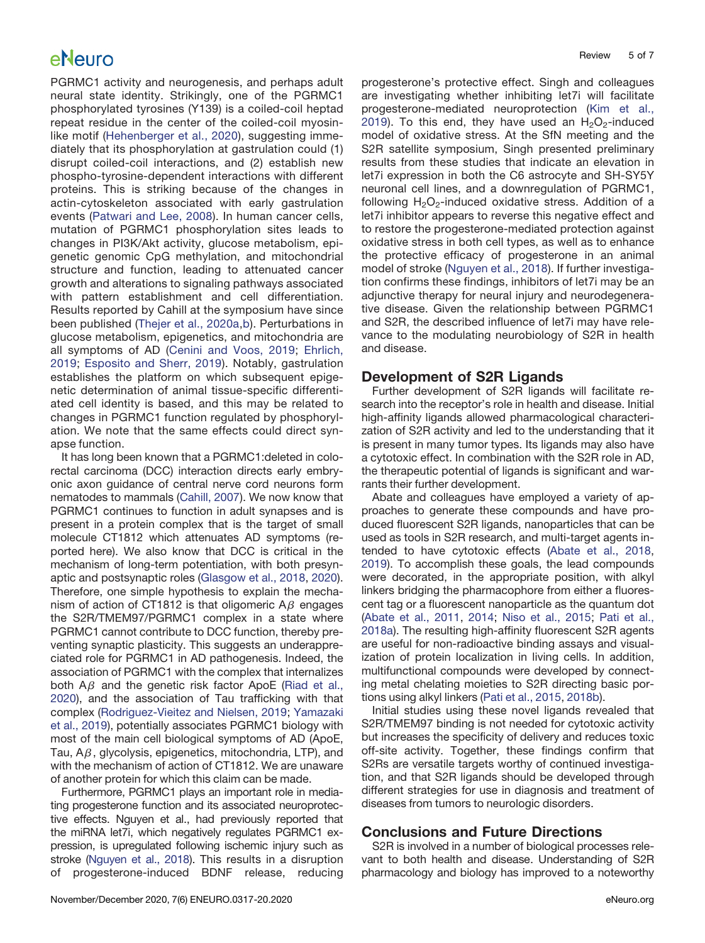PGRMC1 activity and neurogenesis, and perhaps adult neural state identity. Strikingly, one of the PGRMC1 phosphorylated tyrosines (Y139) is a coiled-coil heptad repeat residue in the center of the coiled-coil myosinlike motif ([Hehenberger et al., 2020\)](#page-5-19), suggesting immediately that its phosphorylation at gastrulation could (1) disrupt coiled-coil interactions, and (2) establish new phospho-tyrosine-dependent interactions with different proteins. This is striking because of the changes in actin-cytoskeleton associated with early gastrulation events ([Patwari and Lee, 2008](#page-6-23)). In human cancer cells, mutation of PGRMC1 phosphorylation sites leads to changes in PI3K/Akt activity, glucose metabolism, epigenetic genomic CpG methylation, and mitochondrial structure and function, leading to attenuated cancer growth and alterations to signaling pathways associated with pattern establishment and cell differentiation. Results reported by Cahill at the symposium have since been published ([Thejer et al., 2020a,](#page-6-22)[b](#page-6-24)). Perturbations in glucose metabolism, epigenetics, and mitochondria are all symptoms of AD [\(Cenini and Voos, 2019](#page-5-20); [Ehrlich,](#page-5-21) [2019;](#page-5-21) [Esposito and Sherr, 2019](#page-5-22)). Notably, gastrulation establishes the platform on which subsequent epigenetic determination of animal tissue-specific differentiated cell identity is based, and this may be related to changes in PGRMC1 function regulated by phosphorylation. We note that the same effects could direct synapse function.

It has long been known that a PGRMC1:deleted in colorectal carcinoma (DCC) interaction directs early embryonic axon guidance of central nerve cord neurons form nematodes to mammals [\(Cahill, 2007](#page-5-5)). We now know that PGRMC1 continues to function in adult synapses and is present in a protein complex that is the target of small molecule CT1812 which attenuates AD symptoms (reported here). We also know that DCC is critical in the mechanism of long-term potentiation, with both presynaptic and postsynaptic roles ([Glasgow et al., 2018](#page-5-23), [2020\)](#page-5-24). Therefore, one simple hypothesis to explain the mechanism of action of CT1812 is that oligomeric  $A\beta$  engages the S2R/TMEM97/PGRMC1 complex in a state where PGRMC1 cannot contribute to DCC function, thereby preventing synaptic plasticity. This suggests an underappreciated role for PGRMC1 in AD pathogenesis. Indeed, the association of PGRMC1 with the complex that internalizes both  $A\beta$  and the genetic risk factor ApoE [\(Riad et al.,](#page-6-17) [2020](#page-6-17)), and the association of Tau trafficking with that complex ([Rodriguez-Vieitez and Nielsen, 2019](#page-6-25); [Yamazaki](#page-6-26) [et al., 2019](#page-6-26)), potentially associates PGRMC1 biology with most of the main cell biological symptoms of AD (ApoE, Tau,  $A\beta$ , glycolysis, epigenetics, mitochondria, LTP), and with the mechanism of action of CT1812. We are unaware of another protein for which this claim can be made.

Furthermore, PGRMC1 plays an important role in mediating progesterone function and its associated neuroprotective effects. Nguyen et al., had previously reported that the miRNA let7i, which negatively regulates PGRMC1 expression, is upregulated following ischemic injury such as stroke ([Nguyen et al., 2018](#page-6-5)). This results in a disruption of progesterone-induced BDNF release, reducing

progesterone's protective effect. Singh and colleagues are investigating whether inhibiting let7i will facilitate progesterone-mediated neuroprotection [\(Kim et al.,](#page-5-25) [2019\)](#page-5-25). To this end, they have used an  $H_2O_2$ -induced model of oxidative stress. At the SfN meeting and the S2R satellite symposium, Singh presented preliminary results from these studies that indicate an elevation in let7i expression in both the C6 astrocyte and SH-SY5Y neuronal cell lines, and a downregulation of PGRMC1, following  $H_2O_2$ -induced oxidative stress. Addition of a let7i inhibitor appears to reverse this negative effect and to restore the progesterone-mediated protection against oxidative stress in both cell types, as well as to enhance the protective efficacy of progesterone in an animal model of stroke ([Nguyen et al., 2018\)](#page-6-5). If further investigation confirms these findings, inhibitors of let7i may be an adjunctive therapy for neural injury and neurodegenerative disease. Given the relationship between PGRMC1 and S2R, the described influence of let7i may have relevance to the modulating neurobiology of S2R in health and disease.

### Development of S2R Ligands

Further development of S2R ligands will facilitate research into the receptor's role in health and disease. Initial high-affinity ligands allowed pharmacological characterization of S2R activity and led to the understanding that it is present in many tumor types. Its ligands may also have a cytotoxic effect. In combination with the S2R role in AD, the therapeutic potential of ligands is significant and warrants their further development.

Abate and colleagues have employed a variety of approaches to generate these compounds and have produced fluorescent S2R ligands, nanoparticles that can be used as tools in S2R research, and multi-target agents intended to have cytotoxic effects ([Abate et al., 2018](#page-5-26), [2019](#page-5-27)). To accomplish these goals, the lead compounds were decorated, in the appropriate position, with alkyl linkers bridging the pharmacophore from either a fluorescent tag or a fluorescent nanoparticle as the quantum dot [\(Abate et al., 2011,](#page-5-28) [2014](#page-5-29); [Niso et al., 2015;](#page-6-27) [Pati et al.,](#page-6-28) [2018a](#page-6-28)). The resulting high-affinity fluorescent S2R agents are useful for non-radioactive binding assays and visualization of protein localization in living cells. In addition, multifunctional compounds were developed by connecting metal chelating moieties to S2R directing basic portions using alkyl linkers [\(Pati et al., 2015,](#page-6-29) [2018b\)](#page-6-30).

Initial studies using these novel ligands revealed that S2R/TMEM97 binding is not needed for cytotoxic activity but increases the specificity of delivery and reduces toxic off-site activity. Together, these findings confirm that S2Rs are versatile targets worthy of continued investigation, and that S2R ligands should be developed through different strategies for use in diagnosis and treatment of diseases from tumors to neurologic disorders.

### Conclusions and Future Directions

S2R is involved in a number of biological processes relevant to both health and disease. Understanding of S2R pharmacology and biology has improved to a noteworthy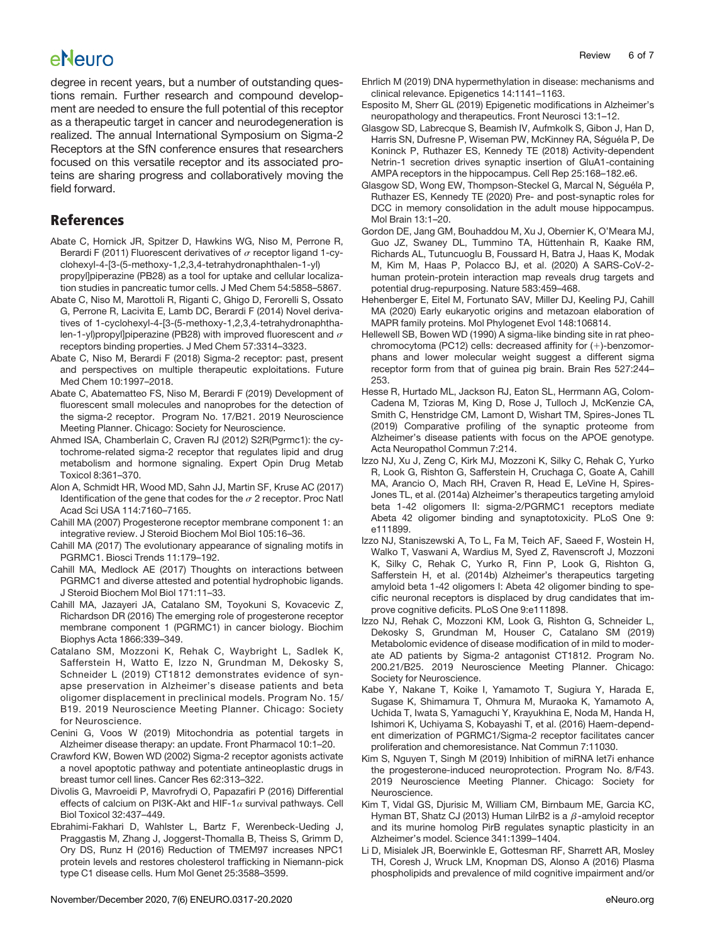degree in recent years, but a number of outstanding questions remain. Further research and compound development are needed to ensure the full potential of this receptor as a therapeutic target in cancer and neurodegeneration is realized. The annual International Symposium on Sigma-2 Receptors at the SfN conference ensures that researchers focused on this versatile receptor and its associated proteins are sharing progress and collaboratively moving the field forward.

### References

- <span id="page-5-28"></span>Abate C, Hornick JR, Spitzer D, Hawkins WG, Niso M, Perrone R, Berardi F (2011) Fluorescent derivatives of  $\sigma$  receptor ligand 1-cyclohexyl-4-[3-(5-methoxy-1,2,3,4-tetrahydronaphthalen-1-yl) propyl]piperazine (PB28) as a tool for uptake and cellular localization studies in pancreatic tumor cells. J Med Chem 54:5858–5867.
- <span id="page-5-29"></span>Abate C, Niso M, Marottoli R, Riganti C, Ghigo D, Ferorelli S, Ossato G, Perrone R, Lacivita E, Lamb DC, Berardi F (2014) Novel derivatives of 1-cyclohexyl-4-[3-(5-methoxy-1,2,3,4-tetrahydronaphthalen-1-yl)propyl]piperazine (PB28) with improved fluorescent and  $\sigma$ receptors binding properties. J Med Chem 57:3314–3323.
- <span id="page-5-26"></span>Abate C, Niso M, Berardi F (2018) Sigma-2 receptor: past, present and perspectives on multiple therapeutic exploitations. Future Med Chem 10:1997–2018.
- <span id="page-5-27"></span>Abate C, Abatematteo FS, Niso M, Berardi F (2019) Development of fluorescent small molecules and nanoprobes for the detection of the sigma-2 receptor. Program No. 17/B21. 2019 Neuroscience Meeting Planner. Chicago: Society for Neuroscience.
- <span id="page-5-6"></span>Ahmed ISA, Chamberlain C, Craven RJ (2012) S2R(Pgrmc1): the cytochrome-related sigma-2 receptor that regulates lipid and drug metabolism and hormone signaling. Expert Opin Drug Metab Toxicol 8:361–370.
- <span id="page-5-4"></span>Alon A, Schmidt HR, Wood MD, Sahn JJ, Martin SF, Kruse AC (2017) Identification of the gene that codes for the  $\sigma$  2 receptor. Proc Natl Acad Sci USA 114:7160–7165.
- <span id="page-5-5"></span>Cahill MA (2007) Progesterone receptor membrane component 1: an integrative review. J Steroid Biochem Mol Biol 105:16–36.
- <span id="page-5-2"></span>Cahill MA (2017) The evolutionary appearance of signaling motifs in PGRMC1. Biosci Trends 11:179–192.
- <span id="page-5-3"></span>Cahill MA, Medlock AE (2017) Thoughts on interactions between PGRMC1 and diverse attested and potential hydrophobic ligands. J Steroid Biochem Mol Biol 171:11–33.
- <span id="page-5-7"></span>Cahill MA, Jazayeri JA, Catalano SM, Toyokuni S, Kovacevic Z, Richardson DR (2016) The emerging role of progesterone receptor membrane component 1 (PGRMC1) in cancer biology. Biochim Biophys Acta 1866:339–349.
- <span id="page-5-13"></span>Catalano SM, Mozzoni K, Rehak C, Waybright L, Sadlek K, Safferstein H, Watto E, Izzo N, Grundman M, Dekosky S, Schneider L (2019) CT1812 demonstrates evidence of synapse preservation in Alzheimer's disease patients and beta oligomer displacement in preclinical models. Program No. 15/ B19. 2019 Neuroscience Meeting Planner. Chicago: Society for Neuroscience.
- <span id="page-5-20"></span>Cenini G, Voos W (2019) Mitochondria as potential targets in Alzheimer disease therapy: an update. Front Pharmacol 10:1–20.
- <span id="page-5-9"></span>Crawford KW, Bowen WD (2002) Sigma-2 receptor agonists activate a novel apoptotic pathway and potentiate antineoplastic drugs in breast tumor cell lines. Cancer Res 62:313–322.
- <span id="page-5-10"></span>Divolis G, Mavroeidi P, Mavrofrydi O, Papazafiri P (2016) Differential effects of calcium on PI3K-Akt and HIF-1 $\alpha$  survival pathways. Cell Biol Toxicol 32:437–449.
- <span id="page-5-17"></span>Ebrahimi-Fakhari D, Wahlster L, Bartz F, Werenbeck-Ueding J, Praggastis M, Zhang J, Joggerst-Thomalla B, Theiss S, Grimm D, Ory DS, Runz H (2016) Reduction of TMEM97 increases NPC1 protein levels and restores cholesterol trafficking in Niemann-pick type C1 disease cells. Hum Mol Genet 25:3588–3599.
- <span id="page-5-21"></span>Ehrlich M (2019) DNA hypermethylation in disease: mechanisms and clinical relevance. Epigenetics 14:1141–1163.
- <span id="page-5-22"></span>Esposito M, Sherr GL (2019) Epigenetic modifications in Alzheimer's neuropathology and therapeutics. Front Neurosci 13:1–12.
- <span id="page-5-23"></span>Glasgow SD, Labrecque S, Beamish IV, Aufmkolk S, Gibon J, Han D, Harris SN, Dufresne P, Wiseman PW, McKinney RA, Séguéla P, De Koninck P, Ruthazer ES, Kennedy TE (2018) Activity-dependent Netrin-1 secretion drives synaptic insertion of GluA1-containing AMPA receptors in the hippocampus. Cell Rep 25:168–182.e6.
- <span id="page-5-24"></span>Glasgow SD, Wong EW, Thompson-Steckel G, Marcal N, Séguéla P, Ruthazer ES, Kennedy TE (2020) Pre- and post-synaptic roles for DCC in memory consolidation in the adult mouse hippocampus. Mol Brain 13:1–20.
- <span id="page-5-8"></span>Gordon DE, Jang GM, Bouhaddou M, Xu J, Obernier K, O'Meara MJ, Guo JZ, Swaney DL, Tummino TA, Hüttenhain R, Kaake RM, Richards AL, Tutuncuoglu B, Foussard H, Batra J, Haas K, Modak M, Kim M, Haas P, Polacco BJ, et al. (2020) A SARS-CoV-2 human protein-protein interaction map reveals drug targets and potential drug-repurposing. Nature 583:459–468.
- <span id="page-5-19"></span>Hehenberger E, Eitel M, Fortunato SAV, Miller DJ, Keeling PJ, Cahill MA (2020) Early eukaryotic origins and metazoan elaboration of MAPR family proteins. Mol Phylogenet Evol 148:106814.
- <span id="page-5-0"></span>Hellewell SB, Bowen WD (1990) A sigma-like binding site in rat pheochromocytoma (PC12) cells: decreased affinity for  $(+)$ -benzomorphans and lower molecular weight suggest a different sigma receptor form from that of guinea pig brain. Brain Res 527:244– 253.
- <span id="page-5-11"></span>Hesse R, Hurtado ML, Jackson RJ, Eaton SL, Herrmann AG, Colom-Cadena M, Tzioras M, King D, Rose J, Tulloch J, McKenzie CA, Smith C, Henstridge CM, Lamont D, Wishart TM, Spires-Jones TL (2019) Comparative profiling of the synaptic proteome from Alzheimer's disease patients with focus on the APOE genotype. Acta Neuropathol Commun 7:214.
- <span id="page-5-15"></span>Izzo NJ, Xu J, Zeng C, Kirk MJ, Mozzoni K, Silky C, Rehak C, Yurko R, Look G, Rishton G, Safferstein H, Cruchaga C, Goate A, Cahill MA, Arancio O, Mach RH, Craven R, Head E, LeVine H, Spires-Jones TL, et al. (2014a) Alzheimer's therapeutics targeting amyloid beta 1-42 oligomers II: sigma-2/PGRMC1 receptors mediate Abeta 42 oligomer binding and synaptotoxicity. PLoS One 9: e111899.
- <span id="page-5-16"></span>Izzo NJ, Staniszewski A, To L, Fa M, Teich AF, Saeed F, Wostein H, Walko T, Vaswani A, Wardius M, Syed Z, Ravenscroft J, Mozzoni K, Silky C, Rehak C, Yurko R, Finn P, Look G, Rishton G, Safferstein H, et al. (2014b) Alzheimer's therapeutics targeting amyloid beta 1-42 oligomers I: Abeta 42 oligomer binding to specific neuronal receptors is displaced by drug candidates that improve cognitive deficits. PLoS One 9:e111898.
- <span id="page-5-14"></span>Izzo NJ, Rehak C, Mozzoni KM, Look G, Rishton G, Schneider L, Dekosky S, Grundman M, Houser C, Catalano SM (2019) Metabolomic evidence of disease modification of in mild to moderate AD patients by Sigma-2 antagonist CT1812. Program No. 200.21/B25. 2019 Neuroscience Meeting Planner. Chicago: Society for Neuroscience.
- <span id="page-5-1"></span>Kabe Y, Nakane T, Koike I, Yamamoto T, Sugiura Y, Harada E, Sugase K, Shimamura T, Ohmura M, Muraoka K, Yamamoto A, Uchida T, Iwata S, Yamaguchi Y, Krayukhina E, Noda M, Handa H, Ishimori K, Uchiyama S, Kobayashi T, et al. (2016) Haem-dependent dimerization of PGRMC1/Sigma-2 receptor facilitates cancer proliferation and chemoresistance. Nat Commun 7:11030.
- <span id="page-5-25"></span>Kim S, Nguyen T, Singh M (2019) Inhibition of miRNA let7i enhance the progesterone-induced neuroprotection. Program No. 8/F43. 2019 Neuroscience Meeting Planner. Chicago: Society for Neuroscience.
- <span id="page-5-12"></span>Kim T, Vidal GS, Djurisic M, William CM, Birnbaum ME, Garcia KC, Hyman BT, Shatz CJ (2013) Human LilrB2 is a  $\beta$ -amyloid receptor and its murine homolog PirB regulates synaptic plasticity in an Alzheimer's model. Science 341:1399–1404.
- <span id="page-5-18"></span>Li D, Misialek JR, Boerwinkle E, Gottesman RF, Sharrett AR, Mosley TH, Coresh J, Wruck LM, Knopman DS, Alonso A (2016) Plasma phospholipids and prevalence of mild cognitive impairment and/or